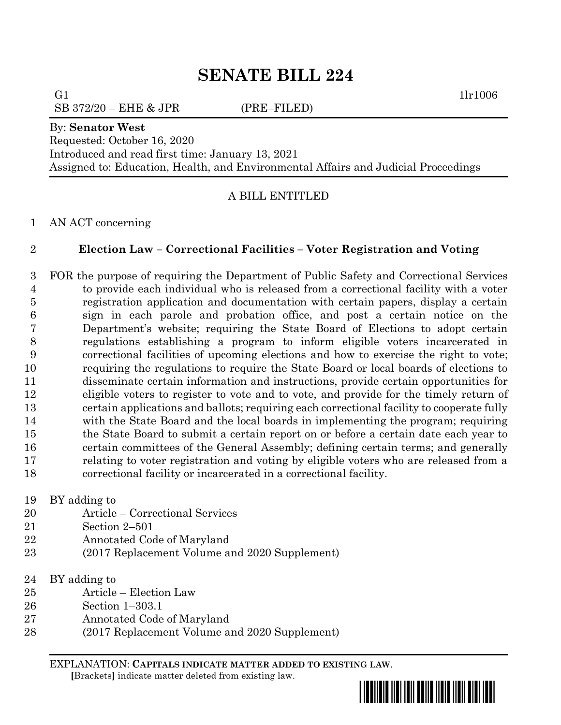# **SENATE BILL 224**

SB 372/20 – EHE & JPR (PRE–FILED)

G1  $1\ln 1006$ 

#### By: **Senator West**

Requested: October 16, 2020

Introduced and read first time: January 13, 2021

Assigned to: Education, Health, and Environmental Affairs and Judicial Proceedings

## A BILL ENTITLED

### AN ACT concerning

## **Election Law – Correctional Facilities – Voter Registration and Voting**

 FOR the purpose of requiring the Department of Public Safety and Correctional Services to provide each individual who is released from a correctional facility with a voter registration application and documentation with certain papers, display a certain sign in each parole and probation office, and post a certain notice on the Department's website; requiring the State Board of Elections to adopt certain regulations establishing a program to inform eligible voters incarcerated in correctional facilities of upcoming elections and how to exercise the right to vote; requiring the regulations to require the State Board or local boards of elections to disseminate certain information and instructions, provide certain opportunities for eligible voters to register to vote and to vote, and provide for the timely return of certain applications and ballots; requiring each correctional facility to cooperate fully with the State Board and the local boards in implementing the program; requiring the State Board to submit a certain report on or before a certain date each year to certain committees of the General Assembly; defining certain terms; and generally relating to voter registration and voting by eligible voters who are released from a correctional facility or incarcerated in a correctional facility.

### BY adding to

- Article Correctional Services
- Section 2–501
- Annotated Code of Maryland
- (2017 Replacement Volume and 2020 Supplement)
- BY adding to
- Article Election Law
- Section 1–303.1
- Annotated Code of Maryland
- (2017 Replacement Volume and 2020 Supplement)

EXPLANATION: **CAPITALS INDICATE MATTER ADDED TO EXISTING LAW**.  **[**Brackets**]** indicate matter deleted from existing law.

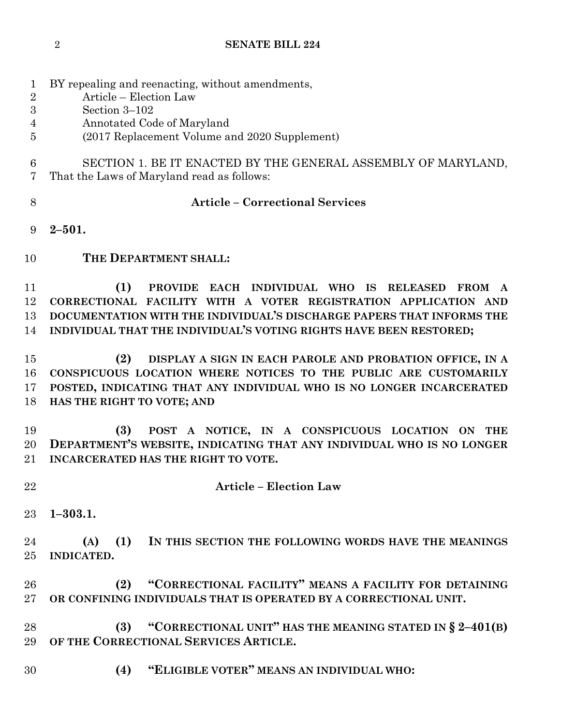- BY repealing and reenacting, without amendments,
- Article Election Law
- Section 3–102
- Annotated Code of Maryland
- (2017 Replacement Volume and 2020 Supplement)
- SECTION 1. BE IT ENACTED BY THE GENERAL ASSEMBLY OF MARYLAND, That the Laws of Maryland read as follows:
- 

## **Article – Correctional Services**

- **2–501.**
- **THE DEPARTMENT SHALL:**

 **(1) PROVIDE EACH INDIVIDUAL WHO IS RELEASED FROM A CORRECTIONAL FACILITY WITH A VOTER REGISTRATION APPLICATION AND DOCUMENTATION WITH THE INDIVIDUAL'S DISCHARGE PAPERS THAT INFORMS THE INDIVIDUAL THAT THE INDIVIDUAL'S VOTING RIGHTS HAVE BEEN RESTORED;**

 **(2) DISPLAY A SIGN IN EACH PAROLE AND PROBATION OFFICE, IN A CONSPICUOUS LOCATION WHERE NOTICES TO THE PUBLIC ARE CUSTOMARILY POSTED, INDICATING THAT ANY INDIVIDUAL WHO IS NO LONGER INCARCERATED HAS THE RIGHT TO VOTE; AND** 

 **(3) POST A NOTICE, IN A CONSPICUOUS LOCATION ON THE DEPARTMENT'S WEBSITE, INDICATING THAT ANY INDIVIDUAL WHO IS NO LONGER INCARCERATED HAS THE RIGHT TO VOTE.**

# **Article – Election Law**

**1–303.1.**

 **(A) (1) IN THIS SECTION THE FOLLOWING WORDS HAVE THE MEANINGS INDICATED.**

 **(2) "CORRECTIONAL FACILITY" MEANS A FACILITY FOR DETAINING OR CONFINING INDIVIDUALS THAT IS OPERATED BY A CORRECTIONAL UNIT.**

 **(3) "CORRECTIONAL UNIT" HAS THE MEANING STATED IN § 2–401(B) OF THE CORRECTIONAL SERVICES ARTICLE.**

**(4) "ELIGIBLE VOTER" MEANS AN INDIVIDUAL WHO:**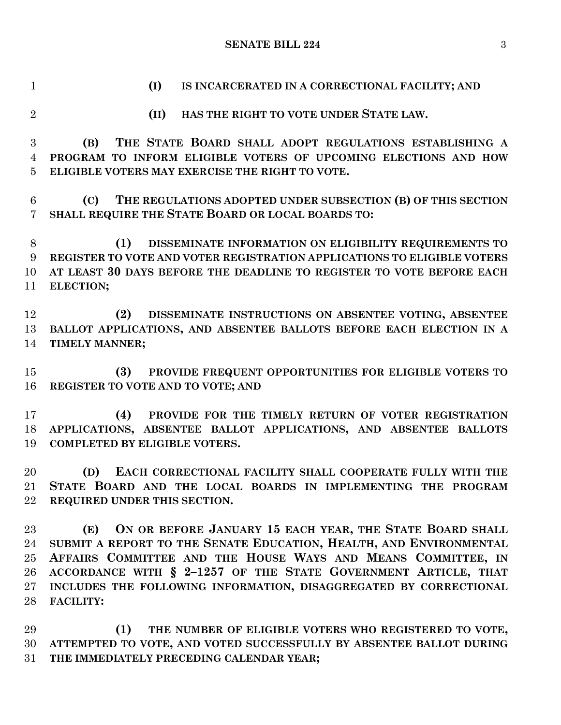**SENATE BILL 224** 3

**(I) IS INCARCERATED IN A CORRECTIONAL FACILITY; AND** 

 **(II) HAS THE RIGHT TO VOTE UNDER STATE LAW. (B) THE STATE BOARD SHALL ADOPT REGULATIONS ESTABLISHING A PROGRAM TO INFORM ELIGIBLE VOTERS OF UPCOMING ELECTIONS AND HOW ELIGIBLE VOTERS MAY EXERCISE THE RIGHT TO VOTE. (C) THE REGULATIONS ADOPTED UNDER SUBSECTION (B) OF THIS SECTION SHALL REQUIRE THE STATE BOARD OR LOCAL BOARDS TO: (1) DISSEMINATE INFORMATION ON ELIGIBILITY REQUIREMENTS TO REGISTER TO VOTE AND VOTER REGISTRATION APPLICATIONS TO ELIGIBLE VOTERS AT LEAST 30 DAYS BEFORE THE DEADLINE TO REGISTER TO VOTE BEFORE EACH ELECTION; (2) DISSEMINATE INSTRUCTIONS ON ABSENTEE VOTING, ABSENTEE BALLOT APPLICATIONS, AND ABSENTEE BALLOTS BEFORE EACH ELECTION IN A TIMELY MANNER; (3) PROVIDE FREQUENT OPPORTUNITIES FOR ELIGIBLE VOTERS TO REGISTER TO VOTE AND TO VOTE; AND (4) PROVIDE FOR THE TIMELY RETURN OF VOTER REGISTRATION APPLICATIONS, ABSENTEE BALLOT APPLICATIONS, AND ABSENTEE BALLOTS COMPLETED BY ELIGIBLE VOTERS. (D) EACH CORRECTIONAL FACILITY SHALL COOPERATE FULLY WITH THE STATE BOARD AND THE LOCAL BOARDS IN IMPLEMENTING THE PROGRAM REQUIRED UNDER THIS SECTION. (E) ON OR BEFORE JANUARY 15 EACH YEAR, THE STATE BOARD SHALL** 

 **SUBMIT A REPORT TO THE SENATE EDUCATION, HEALTH, AND ENVIRONMENTAL AFFAIRS COMMITTEE AND THE HOUSE WAYS AND MEANS COMMITTEE, IN ACCORDANCE WITH § 2–1257 OF THE STATE GOVERNMENT ARTICLE, THAT INCLUDES THE FOLLOWING INFORMATION, DISAGGREGATED BY CORRECTIONAL FACILITY:**

 **(1) THE NUMBER OF ELIGIBLE VOTERS WHO REGISTERED TO VOTE, ATTEMPTED TO VOTE, AND VOTED SUCCESSFULLY BY ABSENTEE BALLOT DURING THE IMMEDIATELY PRECEDING CALENDAR YEAR;**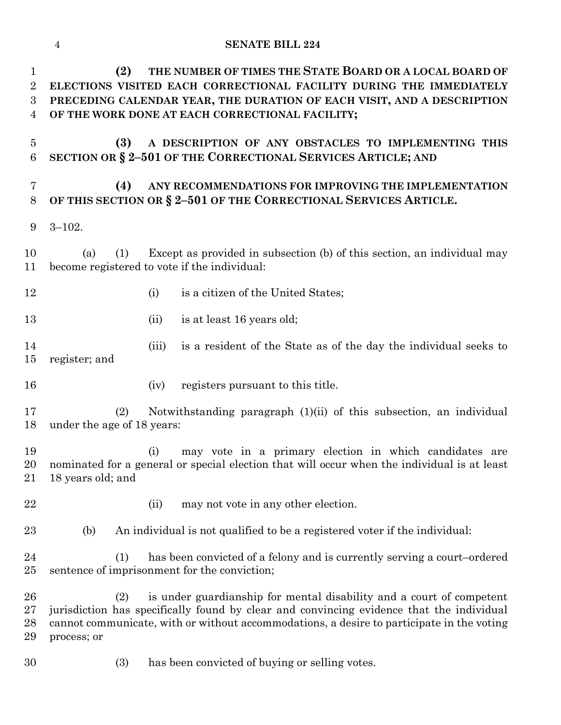#### **SENATE BILL 224**

 **(2) THE NUMBER OF TIMES THE STATE BOARD OR A LOCAL BOARD OF ELECTIONS VISITED EACH CORRECTIONAL FACILITY DURING THE IMMEDIATELY PRECEDING CALENDAR YEAR, THE DURATION OF EACH VISIT, AND A DESCRIPTION OF THE WORK DONE AT EACH CORRECTIONAL FACILITY;**

 **(3) A DESCRIPTION OF ANY OBSTACLES TO IMPLEMENTING THIS SECTION OR § 2–501 OF THE CORRECTIONAL SERVICES ARTICLE; AND** 

## **(4) ANY RECOMMENDATIONS FOR IMPROVING THE IMPLEMENTATION OF THIS SECTION OR § 2–501 OF THE CORRECTIONAL SERVICES ARTICLE.**

3–102.

 (a) (1) Except as provided in subsection (b) of this section, an individual may become registered to vote if the individual:

- 12 (i) is a citizen of the United States;
- 13 (ii) is at least 16 years old;
- (iii) is a resident of the State as of the day the individual seeks to register; and
- (iv) registers pursuant to this title.

 (2) Notwithstanding paragraph (1)(ii) of this subsection, an individual under the age of 18 years:

 (i) may vote in a primary election in which candidates are nominated for a general or special election that will occur when the individual is at least 18 years old; and

- 22 (ii) may not vote in any other election.
- (b) An individual is not qualified to be a registered voter if the individual:

 (1) has been convicted of a felony and is currently serving a court–ordered sentence of imprisonment for the conviction;

 (2) is under guardianship for mental disability and a court of competent jurisdiction has specifically found by clear and convincing evidence that the individual cannot communicate, with or without accommodations, a desire to participate in the voting process; or

(3) has been convicted of buying or selling votes.